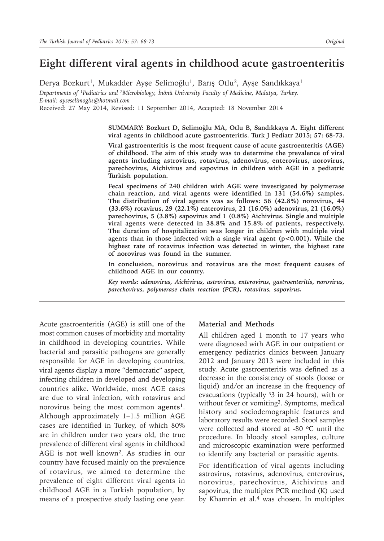# **Eight different viral agents in childhood acute gastroenteritis**

Derya Bozkurt<sup>1</sup>, Mukadder Ayşe Selimoğlu<sup>1</sup>, Barış Otlu<sup>2</sup>, Ayşe Sandıkkaya<sup>1</sup> *Departments of 1Pediatrics and 2Microbiology, İnönü University Faculty of Medicine, Malatya, Turkey. E-mail: ayseselimoglu@hotmail.com*

Received: 27 May 2014, Revised: 11 September 2014, Accepted: 18 November 2014

**SUMMARY: Bozkurt D, Selimoğlu MA, Otlu B, Sandıkkaya A. Eight different viral agents in childhood acute gastroenteritis. Turk J Pediatr 2015; 57: 68-73.**

**Viral gastroenteritis is the most frequent cause of acute gastroenteritis (AGE) of childhood. The aim of this study was to determine the prevalence of viral agents including astrovirus, rotavirus, adenovirus, enterovirus, norovirus, parechovirus, Aichivirus and sapovirus in children with AGE in a pediatric Turkish population.** 

**Fecal specimens of 240 children with AGE were investigated by polymerase chain reaction, and viral agents were identified in 131 (54.6%) samples. The distribution of viral agents was as follows: 56 (42.8%) norovirus, 44 (33.6%) rotavirus, 29 (22.1%) enterovirus, 21 (16.0%) adenovirus, 21 (16.0%) parechovirus, 5 (3.8%) sapovirus and 1 (0.8%) Aichivirus. Single and multiple viral agents were detected in 38.8% and 15.8% of patients, respectively. The duration of hospitalization was longer in children with multiple viral agents than in those infected with a single viral agent (p<0.001). While the highest rate of rotavirus infection was detected in winter, the highest rate of norovirus was found in the summer.** 

**In conclusion, norovirus and rotavirus are the most frequent causes of childhood AGE in our country.**

*Key words: adenovirus, Aichivirus, astrovirus, enterovirus, gastroenteritis, norovirus, parechovirus, polymerase chain reaction (PCR), rotavirus, sapovirus.*

Acute gastroenteritis (AGE) is still one of the most common causes of morbidity and mortality in childhood in developing countries. While bacterial and parasitic pathogens are generally responsible for AGE in developing countries, viral agents display a more "democratic" aspect, infecting children in developed and developing countries alike. Worldwide, most AGE cases are due to viral infection, with rotavirus and norovirus being the most common **agents<sup>1</sup>**. Although approximately 1–1.5 million AGE cases are identified in Turkey, of which 80% are in children under two years old, the true prevalence of different viral agents in childhood AGE is not well known2. As studies in our country have focused mainly on the prevalence of rotavirus, we aimed to determine the prevalence of eight different viral agents in childhood AGE in a Turkish population, by means of a prospective study lasting one year.

### **Material and Methods**

All children aged 1 month to 17 years who were diagnosed with AGE in our outpatient or emergency pediatrics clinics between January 2012 and January 2013 were included in this study. Acute gastroenteritis was defined as a decrease in the consistency of stools (loose or liquid) and/or an increase in the frequency of evacuations (typically  $33$  in 24 hours), with or without fever or vomiting<sup>3</sup>. Symptoms, medical history and sociodemographic features and laboratory results were recorded. Stool samples were collected and stored at -80  $\degree$ C until the procedure. In bloody stool samples, culture and microscopic examination were performed to identify any bacterial or parasitic agents.

For identification of viral agents including astrovirus, rotavirus, adenovirus, enterovirus, norovirus, parechovirus, Aichivirus and sapovirus, the multiplex PCR method (K) used by Khamrin et al.<sup>4</sup> was chosen. In multiplex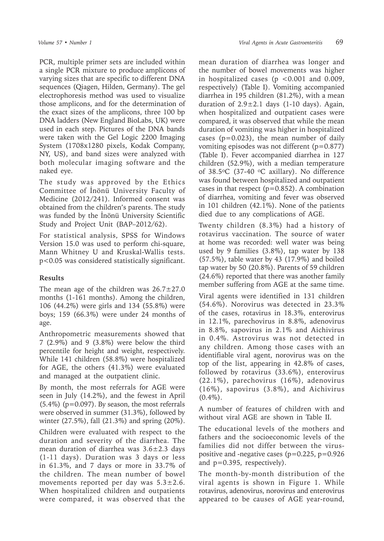PCR, multiple primer sets are included within a single PCR mixture to produce amplicons of varying sizes that are specific to different DNA sequences (Qiagen, Hilden, Germany). The gel electrophoresis method was used to visualize those amplicons, and for the determination of the exact sizes of the amplicons, three 100 bp DNA ladders (New England BioLabs, UK) were used in each step. Pictures of the DNA bands were taken with the Gel Logic 2200 Imaging System (1708x1280 pixels, Kodak Company, NY, US), and band sizes were analyzed with both molecular imaging software and the naked eye.

The study was approved by the Ethics Committee of İnönü University Faculty of Medicine (2012/241). Informed consent was obtained from the children's parents. The study was funded by the İnönü University Scientific Study and Project Unit (BAP–2012/62).

For statistical analysis, SPSS for Windows Version 15.0 was used to perform chi-square, Mann Whitney U and Kruskal-Wallis tests. p<0.05 was considered statistically significant.

## **Results**

The mean age of the children was  $26.7 \pm 27.0$ months (1-161 months). Among the children, 106 (44.2%) were girls and 134 (55.8%) were boys; 159 (66.3%) were under 24 months of age.

Anthropometric measurements showed that 7 (2.9%) and 9 (3.8%) were below the third percentile for height and weight, respectively. While 141 children (58.8%) were hospitalized for AGE, the others (41.3%) were evaluated and managed at the outpatient clinic.

By month, the most referrals for AGE were seen in July (14.2%), and the fewest in April (5.4%) (p=0.097). By season, the most referrals were observed in summer (31.3%), followed by winter (27.5%), fall (21.3%) and spring (20%).

Children were evaluated with respect to the duration and severity of the diarrhea. The mean duration of diarrhea was  $3.6 \pm 2.3$  days (1-11 days). Duration was 3 days or less in 61.3%, and 7 days or more in 33.7% of the children. The mean number of bowel movements reported per day was  $5.3 \pm 2.6$ . When hospitalized children and outpatients were compared, it was observed that the

mean duration of diarrhea was longer and the number of bowel movements was higher in hospitalized cases ( $p < 0.001$  and 0.009, respectively) (Table I). Vomiting accompanied diarrhea in 195 children (81.2%), with a mean duration of  $2.9 \pm 2.1$  days (1-10 days). Again, when hospitalized and outpatient cases were compared, it was observed that while the mean duration of vomiting was higher in hospitalized cases  $(p=0.023)$ , the mean number of daily vomiting episodes was not different (p=0.877) (Table I). Fever accompanied diarrhea in 127 children (52.9%), with a median temperature of 38.5<sup>o</sup>C (37-40 <sup>o</sup>C axillary). No difference was found between hospitalized and outpatient cases in that respect  $(p=0.852)$ . A combination of diarrhea, vomiting and fever was observed in 101 children (42.1%). None of the patients died due to any complications of AGE.

Twenty children (8.3%) had a history of rotavirus vaccination. The source of water at home was recorded: well water was being used by 9 families (3.8%), tap water by 138 (57.5%), table water by 43 (17.9%) and boiled tap water by 50 (20.8%). Parents of 59 children (24.6%) reported that there was another family member suffering from AGE at the same time.

Viral agents were identified in 131 children (54.6%). Norovirus was detected in 23.3% of the cases, rotavirus in 18.3%, enterovirus in 12.1%, parechovirus in 8.8%, adenovirus in 8.8%, sapovirus in 2.1% and Aichivirus in 0.4%. Astrovirus was not detected in any children. Among those cases with an identifiable viral agent, norovirus was on the top of the list, appearing in 42.8% of cases, followed by rotavirus (33.6%), enterovirus (22.1%), parechovirus (16%), adenovirus (16%), sapovirus (3.8%), and Aichivirus  $(0.4\%)$ .

A number of features of children with and without viral AGE are shown in Table II.

The educational levels of the mothers and fathers and the socioeconomic levels of the families did not differ between the viruspositive and -negative cases ( $p=0.225$ ,  $p=0.926$ and p=0.395, respectively).

The month-by-month distribution of the viral agents is shown in Figure 1. While rotavirus, adenovirus, norovirus and enterovirus appeared to be causes of AGE year-round,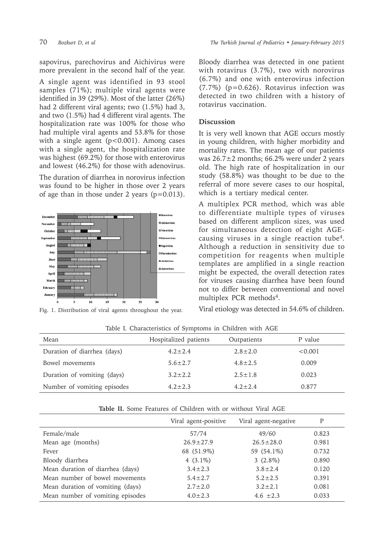sapovirus, parechovirus and Aichivirus were more prevalent in the second half of the year.

A single agent was identified in 93 stool samples (71%); multiple viral agents were identified in 39 (29%). Most of the latter (26%) had 2 different viral agents; two (1.5%) had 3, and two (1.5%) had 4 different viral agents. The hospitalization rate was 100% for those who had multiple viral agents and 53.8% for those with a single agent  $(p<0.001)$ . Among cases with a single agent, the hospitalization rate was highest (69.2%) for those with enterovirus and lowest (46.2%) for those with adenovirus.

The duration of diarrhea in norovirus infection was found to be higher in those over 2 years of age than in those under 2 years  $(p=0.013)$ .



Fig. 1. Distribution of viral agents throughout the year.

Bloody diarrhea was detected in one patient with rotavirus (3.7%), two with norovirus (6.7%) and one with enterovirus infection (7.7%) (p=0.626). Rotavirus infection was detected in two children with a history of rotavirus vaccination.

## **Discussion**

It is very well known that AGE occurs mostly in young children, with higher morbidity and mortality rates. The mean age of our patients was 26.7±2 months; 66.2% were under 2 years old. The high rate of hospitalization in our study (58.8%) was thought to be due to the referral of more severe cases to our hospital, which is a tertiary medical center.

A multiplex PCR method, which was able to differentiate multiple types of viruses based on different amplicon sizes, was used for simultaneous detection of eight AGEcausing viruses in a single reaction tube4. Although a reduction in sensitivity due to competition for reagents when multiple templates are amplified in a single reaction might be expected, the overall detection rates for viruses causing diarrhea have been found not to differ between conventional and novel multiplex PCR methods4.

Viral etiology was detected in 54.6% of children.

| Mean                        | Hospitalized patients | Outpatients   | P value |
|-----------------------------|-----------------------|---------------|---------|
| Duration of diarrhea (days) | $4.2 \pm 2.4$         | $2.8 \pm 2.0$ | < 0.001 |
| Bowel movements             | $5.6 \pm 2.7$         | $4.8 \pm 2.5$ | 0.009   |
| Duration of vomiting (days) | $3.2 \pm 2.2$         | $2.5 \pm 1.8$ | 0.023   |
| Number of vomiting episodes | $4.2 \pm 2.3$         | $4.2 + 2.4$   | 0.877   |
|                             |                       |               |         |

Table I. Characteristics of Symptoms in Children with AGE

| <b>Table II.</b> Some Features of Children with or without Viral AGE |  |
|----------------------------------------------------------------------|--|
|----------------------------------------------------------------------|--|

|                                  | Viral agent-positive | Viral agent-negative | Р     |
|----------------------------------|----------------------|----------------------|-------|
| Female/male                      | 57/74                | 49/60                | 0.823 |
| Mean age (months)                | $26.9 \pm 27.9$      | $26.5 \pm 28.0$      | 0.981 |
| Fever                            | 68 (51.9%)           | 59 (54.1%)           | 0.732 |
| Bloody diarrhea                  | 4 $(3.1\%)$          | 3 $(2.8\%)$          | 0.890 |
| Mean duration of diarrhea (days) | $3.4 \pm 2.3$        | $3.8 \pm 2.4$        | 0.120 |
| Mean number of bowel movements   | $5.4 \pm 2.7$        | $5.2 \pm 2.5$        | 0.391 |
| Mean duration of vomiting (days) | $2.7 \pm 2.0$        | $3.2 \pm 2.1$        | 0.081 |
| Mean number of vomiting episodes | $4.0 + 2.3$          | $4.6 + 2.3$          | 0.033 |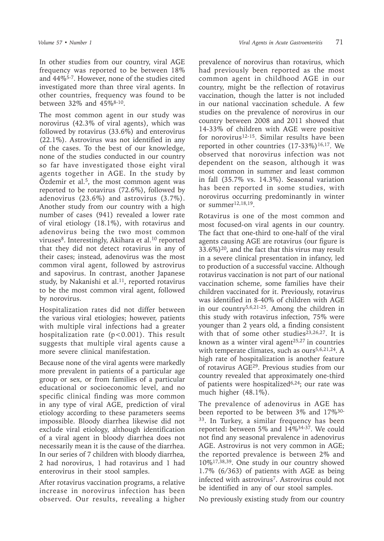In other studies from our country, viral AGE frequency was reported to be between 18% and 44%5-7. However, none of the studies cited investigated more than three viral agents. In other countries, frequency was found to be between 32% and 45%8-10.

The most common agent in our study was norovirus (42.3% of viral agents), which was followed by rotavirus (33.6%) and enterovirus (22.1%). Astrovirus was not identified in any of the cases. To the best of our knowledge, none of the studies conducted in our country so far have investigated those eight viral agents together in AGE. In the study by Özdemir et al.<sup>5</sup>, the most common agent was reported to be rotavirus (72.6%), followed by adenovirus (23.6%) and astrovirus (3.7%). Another study from our country with a high number of cases (941) revealed a lower rate of viral etiology (18.1%), with rotavirus and adenovirus being the two most common viruses<sup>8</sup>. Interestingly, Akihara et al.<sup>10</sup> reported that they did not detect rotavirus in any of their cases; instead, adenovirus was the most common viral agent, followed by astrovirus and sapovirus. In contrast, another Japanese study, by Nakanishi et al.<sup>11</sup>, reported rotavirus to be the most common viral agent, followed by norovirus.

Hospitalization rates did not differ between the various viral etiologies; however, patients with multiple viral infections had a greater hospitalization rate (p<0.001). This result suggests that multiple viral agents cause a more severe clinical manifestation.

Because none of the viral agents were markedly more prevalent in patients of a particular age group or sex, or from families of a particular educational or socioeconomic level, and no specific clinical finding was more common in any type of viral AGE, prediction of viral etiology according to these parameters seems impossible. Bloody diarrhea likewise did not exclude viral etiology, although identification of a viral agent in bloody diarrhea does not necessarily mean it is the cause of the diarrhea. In our series of 7 children with bloody diarrhea, 2 had norovirus, 1 had rotavirus and 1 had enterovirus in their stool samples.

After rotavirus vaccination programs, a relative increase in norovirus infection has been observed. Our results, revealing a higher

prevalence of norovirus than rotavirus, which had previously been reported as the most common agent in childhood AGE in our country, might be the reflection of rotavirus vaccination, though the latter is not included in our national vaccination schedule. A few studies on the prevalence of norovirus in our country between 2008 and 2011 showed that 14-33% of children with AGE were positive for norovirus<sup>12-15</sup>. Similar results have been reported in other countries  $(17-33\%)^{16,17}$ . We observed that norovirus infection was not dependent on the season, although it was most common in summer and least common in fall (35.7% vs. 14.3%). Seasonal variation has been reported in some studies, with norovirus occurring predominantly in winter or summer12,18,19.

Rotavirus is one of the most common and most focused-on viral agents in our country. The fact that one-third to one-half of the viral agents causing AGE are rotavirus (our figure is  $33.6\%)$ <sup>20</sup>, and the fact that this virus may result in a severe clinical presentation in infancy, led to production of a successful vaccine. Although rotavirus vaccination is not part of our national vaccination scheme, some families have their children vaccinated for it. Previously, rotavirus was identified in 8-40% of children with AGE in our country5,6,21-25. Among the children in this study with rotavirus infection, 75% were younger than 2 years old, a finding consistent with that of some other studies<sup>23,26,27</sup>. It is known as a winter viral agent<sup>25,27</sup> in countries with temperate climates, such as ours<sup>5,6,21,24</sup>. A high rate of hospitalization is another feature of rotavirus AGE29. Previous studies from our country revealed that approximately one-third of patients were hospitalized $6,24$ ; our rate was much higher (48.1%).

The prevalence of adenovirus in AGE has been reported to be between 3% and 17%30- <sup>33</sup>. In Turkey, a similar frequency has been reported: between 5% and 14%34-37. We could not find any seasonal prevalence in adenovirus AGE. Astrovirus is not very common in AGE; the reported prevalence is between 2% and 10%17,38,39. One study in our country showed 1.7% (6/363) of patients with AGE as being infected with astrovirus<sup>7</sup>. Astrovirus could not be identified in any of our stool samples.

No previously existing study from our country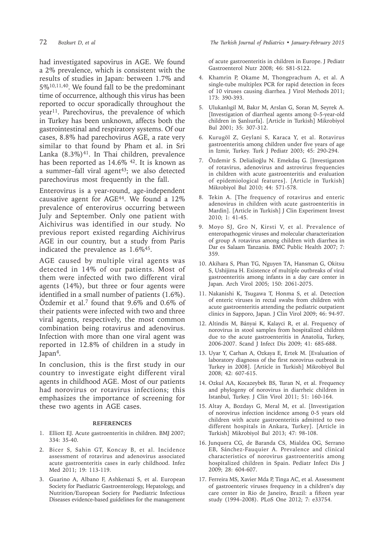had investigated sapovirus in AGE. We found a 2% prevalence, which is consistent with the results of studies in Japan: between 1.7% and 5%10,11,40. We found fall to be the predominant time of occurrence, although this virus has been reported to occur sporadically throughout the year<sup>11</sup>. Parechovirus, the prevalence of which in Turkey has been unknown, affects both the gastrointestinal and respiratory systems. Of our cases, 8.8% had parechovirus AGE, a rate very similar to that found by Pham et al. in Sri Lanka  $(8.3\%)$ <sup>41</sup>. In Thai children, prevalence has been reported as 14.6% <sup>42</sup>. It is known as a summer–fall viral agent $43$ ; we also detected parechovirus most frequently in the fall.

Enterovirus is a year-round, age-independent causative agent for AGE $44$ . We found a 12% prevalence of enterovirus occurring between July and September. Only one patient with Aichivirus was identified in our study. No previous report existed regarding Aichivirus AGE in our country, but a study from Paris indicated the prevalence as 1.6%45.

AGE caused by multiple viral agents was detected in 14% of our patients. Most of them were infected with two different viral agents (14%), but three or four agents were identified in a small number of patients (1.6%). Özdemir et al.<sup>7</sup> found that 9.6% and 0.6% of their patients were infected with two and three viral agents, respectively, the most common combination being rotavirus and adenovirus. Infection with more than one viral agent was reported in 12.8% of children in a study in Japan $4$ .

In conclusion, this is the first study in our country to investigate eight different viral agents in childhood AGE. Most of our patients had norovirus or rotavirus infections; this emphasizes the importance of screening for these two agents in AGE cases.

### **REFERENCES**

- 1. Elliott EJ. Acute gastroenteritis in children. BMJ 2007; 334: 35-40.
- 2. Bicer S, Sahin GT, Koncay B, et al. Incidence assessment of rotavirus and adenovirus associated acute gastroenteritis cases in early childhood. Infez Med 2011; 19: 113-119.
- 3. Guarino A, Albano F, Ashkenazi S, et al. European Society for Paediatric Gastroenterology, Hepatology, and Nutrition/European Society for Paediatric Infectious Diseases evidence-based guidelines for the management

of acute gastroenteritis in children in Europe. J Pediatr Gastroenterol Nutr 2008; 46: S81-S122.

- 4. Khamrin P, Okame M, Thongprachum A, et al. A single-tube multiplex PCR for rapid detection in feces of 10 viruses causing diarrhea. J Virol Methods 2011; 173: 390-393.
- 5. Ulukanlıgil M, Bakır M, Arslan G, Soran M, Seyrek A. [Investigation of diarrheal agents among 0–5-year-old children in Şanlıurfa]. [Article in Turkish] Mikrobiyol Bul 2001; 35: 307-312.
- 6. Kurugöl Z, Geylani S, Karaca Y, et al. Rotavirus gastroenteritis among children under five years of age in Izmir, Turkey. Turk J Pediatr 2003; 45: 290-294.
- 7. Özdemir S. Delialioğlu N. Emekdaş G. [Investigatıon of rotavirus, adenovirus and astrovirus frequencies in children with acute gastroenteritis and evaluation of epidemiological features]. [Article in Turkish] Mikrobiyol Bul 2010; 44: 571-578.
- 8. Tekin A. [The frequency of rotavirus and enteric adenovirus in children with acute gastroenteritis in Mardin]. [Article in Turkish] J Clin Experiment Invest 2010; 1: 41-45.
- 9. Moyo SJ, Gro N, Kirsti V, et al. Prevalence of enteropathogenic viruses and molecular characterization of group A rotavirus among children with diarrhea in Dar es Salaam Tanzania. BMC Public Health 2007; 7: 359.
- 10. Akihara S, Phan TG, Nguyen TA, Hansman G, Okitsu S, Ushijima H. Existence of multiple outbreaks of viral gastroenteritis among infants in a day care center in Japan. Arch Virol 2005; 150: 2061-2075.
- 11. Nakanishi K, Tsugawa T, Honma S, et al. Detection of enteric viruses in rectal swabs from children with acute gastroenteritis attending the pediatric outpatient clinics in Sapporo, Japan. J Clin Virol 2009; 46: 94-97.
- 12. Altindis M, Bányai K, Kalayci R, et al. Frequency of norovirus in stool samples from hospitalized children due to the acute gastroenteritis in Anatolia, Turkey, 2006-2007. Scand J Infect Dis 2009; 41: 685-688.
- 13. Uyar Y, Carhan A, Ozkaya E, Ertek M. [Evaluation of laboratory diagnosıs of the first norovirus outbreak in Turkey in 2008]. [Article in Turkish] Mikrobiyol Bul 2008; 42: 607-615.
- 14. Ozkul AA, Kocazeybek BS, Turan N, et al. Frequency and phylogeny of norovirus in diarrheic children in Istanbul, Turkey. J Clin Virol 2011; 51: 160-164.
- 15. Altay A, Bozdayı G, Meral M, et al. [Investigation of norovirus infection incidence among 0-5 years old children with acute gastroenteritis admitted to two different hospitals in Ankara, Turkey]. [Article in Turkish] Mikrobiyol Bul 2013; 47: 98-108.
- 16. Junquera CG, de Baranda CS, Mialdea OG, Serrano EB, Sánchez-Fauquier A. Prevalence and clinical characteristics of norovirus gastroenteritis among hospitalized children in Spain. Pediatr Infect Dis J 2009; 28: 604-607.
- 17. Ferreira MS, Xavier Mda P, Tinga AC, et al. Assessment of gastroenteric viruses frequency in a children's day care center in Rio de Janeiro, Brazil: a fifteen year study (1994–2008). PLoS One 2012; 7: e33754.